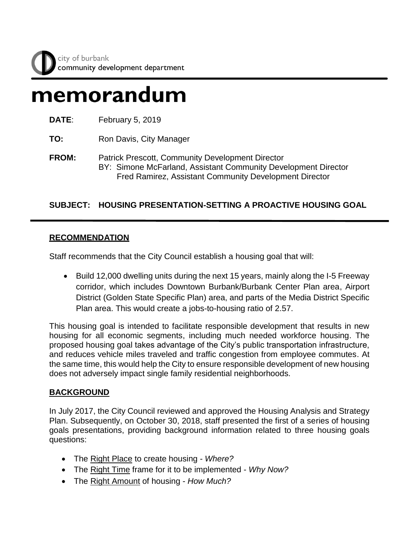# memorandum

**DATE**: February 5, 2019

**TO:** Ron Davis, City Manager

**FROM:** Patrick Prescott, Community Development Director BY: Simone McFarland, Assistant Community Development Director Fred Ramirez, Assistant Community Development Director

# **SUBJECT: HOUSING PRESENTATION-SETTING A PROACTIVE HOUSING GOAL**

#### **RECOMMENDATION**

Staff recommends that the City Council establish a housing goal that will:

 Build 12,000 dwelling units during the next 15 years, mainly along the I-5 Freeway corridor, which includes Downtown Burbank/Burbank Center Plan area, Airport District (Golden State Specific Plan) area, and parts of the Media District Specific Plan area. This would create a jobs-to-housing ratio of 2.57.

This housing goal is intended to facilitate responsible development that results in new housing for all economic segments, including much needed workforce housing. The proposed housing goal takes advantage of the City's public transportation infrastructure, and reduces vehicle miles traveled and traffic congestion from employee commutes. At the same time, this would help the City to ensure responsible development of new housing does not adversely impact single family residential neighborhoods.

#### **BACKGROUND**

In July 2017, the City Council reviewed and approved the Housing Analysis and Strategy Plan. Subsequently, on October 30, 2018, staff presented the first of a series of housing goals presentations, providing background information related to three housing goals questions:

- The Right Place to create housing *Where?*
- The Right Time frame for it to be implemented *Why Now?*
- The Right Amount of housing *How Much?*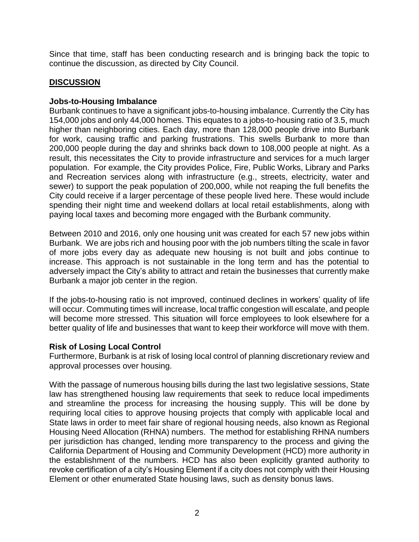Since that time, staff has been conducting research and is bringing back the topic to continue the discussion, as directed by City Council.

## **DISCUSSION**

#### **Jobs-to-Housing Imbalance**

Burbank continues to have a significant jobs-to-housing imbalance. Currently the City has 154,000 jobs and only 44,000 homes. This equates to a jobs-to-housing ratio of 3.5, much higher than neighboring cities. Each day, more than 128,000 people drive into Burbank for work, causing traffic and parking frustrations. This swells Burbank to more than 200,000 people during the day and shrinks back down to 108,000 people at night. As a result, this necessitates the City to provide infrastructure and services for a much larger population. For example, the City provides Police, Fire, Public Works, Library and Parks and Recreation services along with infrastructure (e.g., streets, electricity, water and sewer) to support the peak population of 200,000, while not reaping the full benefits the City could receive if a larger percentage of these people lived here. These would include spending their night time and weekend dollars at local retail establishments, along with paying local taxes and becoming more engaged with the Burbank community.

Between 2010 and 2016, only one housing unit was created for each 57 new jobs within Burbank. We are jobs rich and housing poor with the job numbers tilting the scale in favor of more jobs every day as adequate new housing is not built and jobs continue to increase. This approach is not sustainable in the long term and has the potential to adversely impact the City's ability to attract and retain the businesses that currently make Burbank a major job center in the region.

If the jobs-to-housing ratio is not improved, continued declines in workers' quality of life will occur. Commuting times will increase, local traffic congestion will escalate, and people will become more stressed. This situation will force employees to look elsewhere for a better quality of life and businesses that want to keep their workforce will move with them.

#### **Risk of Losing Local Control**

Furthermore, Burbank is at risk of losing local control of planning discretionary review and approval processes over housing.

With the passage of numerous housing bills during the last two legislative sessions, State law has strengthened housing law requirements that seek to reduce local impediments and streamline the process for increasing the housing supply. This will be done by requiring local cities to approve housing projects that comply with applicable local and State laws in order to meet fair share of regional housing needs, also known as Regional Housing Need Allocation (RHNA) numbers. The method for establishing RHNA numbers per jurisdiction has changed, lending more transparency to the process and giving the California Department of Housing and Community Development (HCD) more authority in the establishment of the numbers. HCD has also been explicitly granted authority to revoke certification of a city's Housing Element if a city does not comply with their Housing Element or other enumerated State housing laws, such as density bonus laws.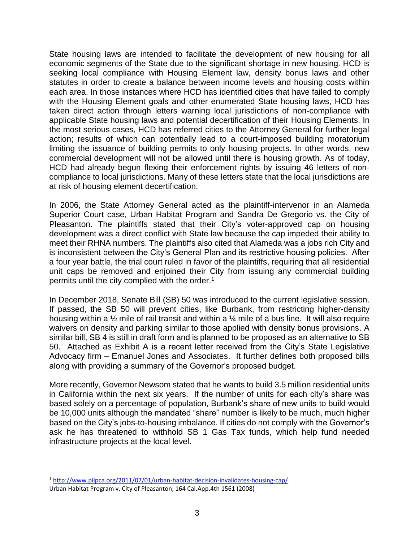State housing laws are intended to facilitate the development of new housing for all economic segments of the State due to the significant shortage in new housing. HCD is seeking local compliance with Housing Element law, density bonus laws and other statutes in order to create a balance between income levels and housing costs within each area. In those instances where HCD has identified cities that have failed to comply with the Housing Element goals and other enumerated State housing laws, HCD has taken direct action through letters warning local jurisdictions of non-compliance with applicable State housing laws and potential decertification of their Housing Elements. In the most serious cases, HCD has referred cities to the Attorney General for further legal action; results of which can potentially lead to a court-imposed building moratorium limiting the issuance of building permits to only housing projects. In other words, new commercial development will not be allowed until there is housing growth. As of today, HCD had already begun flexing their enforcement rights by issuing 46 letters of noncompliance to local jurisdictions. Many of these letters state that the local jurisdictions are at risk of housing element decertification.

In 2006, the State Attorney General acted as the plaintiff-intervenor in an Alameda Superior Court case, Urban Habitat Program and Sandra De Gregorio vs. the City of Pleasanton. The plaintiffs stated that their City's voter-approved cap on housing development was a direct conflict with State law because the cap impeded their ability to meet their RHNA numbers. The plaintiffs also cited that Alameda was a jobs rich City and is inconsistent between the City's General Plan and its restrictive housing policies. After a four year battle, the trial court ruled in favor of the plaintiffs, requiring that all residential unit caps be removed and enjoined their City from issuing any commercial building permits until the city complied with the order.<sup>1</sup>

In December 2018, Senate Bill (SB) 50 was introduced to the current legislative session. If passed, the SB 50 will prevent cities, like Burbank, from restricting higher-density housing within a  $\frac{1}{2}$  mile of rail transit and within a  $\frac{1}{4}$  mile of a bus line. It will also require waivers on density and parking similar to those applied with density bonus provisions. A similar bill, SB 4 is still in draft form and is planned to be proposed as an alternative to SB 50. Attached as Exhibit A is a recent letter received from the City's State Legislative Advocacy firm – Emanuel Jones and Associates. It further defines both proposed bills along with providing a summary of the Governor's proposed budget.

More recently, Governor Newsom stated that he wants to build 3.5 million residential units in California within the next six years. If the number of units for each city's share was based solely on a percentage of population, Burbank's share of new units to build would be 10,000 units although the mandated "share" number is likely to be much, much higher based on the City's jobs-to-housing imbalance. If cities do not comply with the Governor's ask he has threatened to withhold SB 1 Gas Tax funds, which help fund needed infrastructure projects at the local level.

 $\overline{a}$ 

<sup>&</sup>lt;sup>1</sup> <http://www.pilpca.org/2011/07/01/urban-habitat-decision-invalidates-housing-cap/>

Urban Habitat Program v. City of Pleasanton, 164 Cal.App.4th 1561 (2008)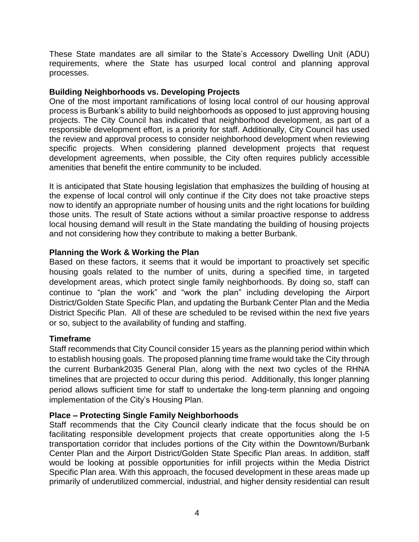These State mandates are all similar to the State's Accessory Dwelling Unit (ADU) requirements, where the State has usurped local control and planning approval processes.

## **Building Neighborhoods vs. Developing Projects**

One of the most important ramifications of losing local control of our housing approval process is Burbank's ability to build neighborhoods as opposed to just approving housing projects. The City Council has indicated that neighborhood development, as part of a responsible development effort, is a priority for staff. Additionally, City Council has used the review and approval process to consider neighborhood development when reviewing specific projects. When considering planned development projects that request development agreements, when possible, the City often requires publicly accessible amenities that benefit the entire community to be included.

It is anticipated that State housing legislation that emphasizes the building of housing at the expense of local control will only continue if the City does not take proactive steps now to identify an appropriate number of housing units and the right locations for building those units. The result of State actions without a similar proactive response to address local housing demand will result in the State mandating the building of housing projects and not considering how they contribute to making a better Burbank.

## **Planning the Work & Working the Plan**

Based on these factors, it seems that it would be important to proactively set specific housing goals related to the number of units, during a specified time, in targeted development areas, which protect single family neighborhoods. By doing so, staff can continue to "plan the work" and "work the plan" including developing the Airport District/Golden State Specific Plan, and updating the Burbank Center Plan and the Media District Specific Plan. All of these are scheduled to be revised within the next five years or so, subject to the availability of funding and staffing.

# **Timeframe**

Staff recommends that City Council consider 15 years as the planning period within which to establish housing goals. The proposed planning time frame would take the City through the current Burbank2035 General Plan, along with the next two cycles of the RHNA timelines that are projected to occur during this period. Additionally, this longer planning period allows sufficient time for staff to undertake the long-term planning and ongoing implementation of the City's Housing Plan.

# **Place – Protecting Single Family Neighborhoods**

Staff recommends that the City Council clearly indicate that the focus should be on facilitating responsible development projects that create opportunities along the I-5 transportation corridor that includes portions of the City within the Downtown/Burbank Center Plan and the Airport District/Golden State Specific Plan areas. In addition, staff would be looking at possible opportunities for infill projects within the Media District Specific Plan area. With this approach, the focused development in these areas made up primarily of underutilized commercial, industrial, and higher density residential can result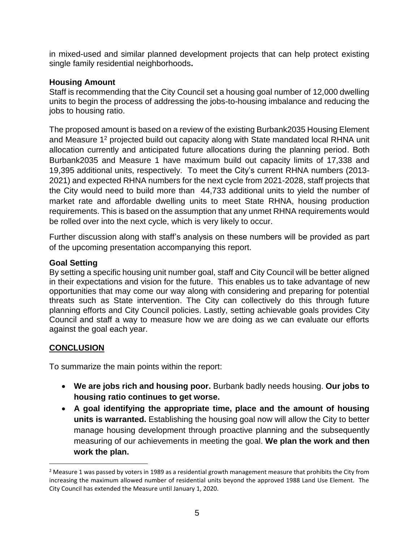in mixed-used and similar planned development projects that can help protect existing single family residential neighborhoods**.**

#### **Housing Amount**

Staff is recommending that the City Council set a housing goal number of 12,000 dwelling units to begin the process of addressing the jobs-to-housing imbalance and reducing the jobs to housing ratio.

The proposed amount is based on a review of the existing Burbank2035 Housing Element and Measure 1<sup>2</sup> projected build out capacity along with State mandated local RHNA unit allocation currently and anticipated future allocations during the planning period. Both Burbank2035 and Measure 1 have maximum build out capacity limits of 17,338 and 19,395 additional units, respectively. To meet the City's current RHNA numbers (2013- 2021) and expected RHNA numbers for the next cycle from 2021-2028, staff projects that the City would need to build more than 44,733 additional units to yield the number of market rate and affordable dwelling units to meet State RHNA, housing production requirements. This is based on the assumption that any unmet RHNA requirements would be rolled over into the next cycle, which is very likely to occur.

Further discussion along with staff's analysis on these numbers will be provided as part of the upcoming presentation accompanying this report.

## **Goal Setting**

By setting a specific housing unit number goal, staff and City Council will be better aligned in their expectations and vision for the future. This enables us to take advantage of new opportunities that may come our way along with considering and preparing for potential threats such as State intervention. The City can collectively do this through future planning efforts and City Council policies. Lastly, setting achievable goals provides City Council and staff a way to measure how we are doing as we can evaluate our efforts against the goal each year.

# **CONCLUSION**

 $\overline{a}$ 

To summarize the main points within the report:

- **We are jobs rich and housing poor.** Burbank badly needs housing. **Our jobs to housing ratio continues to get worse.**
- **A goal identifying the appropriate time, place and the amount of housing units is warranted.** Establishing the housing goal now will allow the City to better manage housing development through proactive planning and the subsequently measuring of our achievements in meeting the goal. **We plan the work and then work the plan.**

 $2$  Measure 1 was passed by voters in 1989 as a residential growth management measure that prohibits the City from increasing the maximum allowed number of residential units beyond the approved 1988 Land Use Element. The City Council has extended the Measure until January 1, 2020.